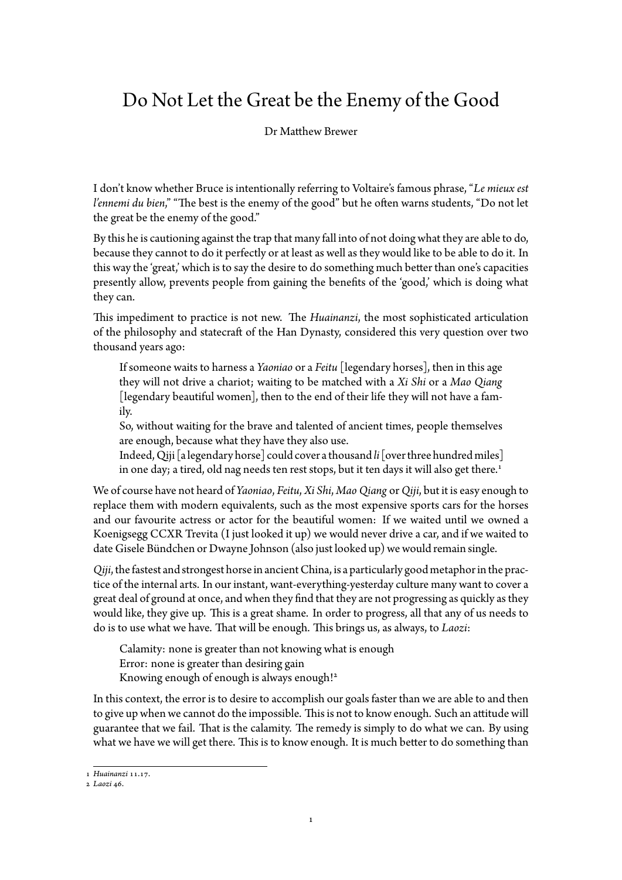## Do Not Let the Great be the Enemy of the Good

Dr Matthew Brewer

I don't know whether Bruce is intentionally referring to Voltaire's famous phrase, "*Le mieux est l'ennemi du bien*," "The best is the enemy of the good" but he often warns students, "Do not let the great be the enemy of the good."

By this he is cautioning against the trap that many fall into of not doing what they are able to do, because they cannot to do it perfectly or at least as well as they would like to be able to do it. In this way the 'great,' which is to say the desire to do something much better than one's capacities presently allow, prevents people from gaining the benefits of the 'good,' which is doing what they can.

This impediment to practice is not new. The *Huainanzi*, the most sophisticated articulation of the philosophy and statecraft of the Han Dynasty, considered this very question over two thousand years ago:

If someone waits to harness a *Yaoniao* or a *Feitu* [legendary horses], then in this age they will not drive a chariot; waiting to be matched with a *Xi Shi* or a *Mao Qiang* [legendary beautiful women], then to the end of their life they will not have a family.

So, without waiting for the brave and talented of ancient times, people themselves are enough, because what they have they also use.

Indeed, Qiji [a legendary horse] could cover athousand *li*[overthree hundred miles] in one day; a tired, old nag needs ten rest stops, but it ten days it will also get there.<sup>1</sup>

We of course have not heard of *Yaoniao*, *Feitu*, *Xi Shi*, *Mao Qiang* or*Qiji*, but it is easy enough to replace them with modern equivalents, such as the most expensive sports cars for the horses and our favourite actress or actor for the beautiful women: If we waited until we o[wn](#page-0-0)ed a Koenigsegg CCXR Trevita (I just looked it up) we would never drive a car, and if we waited to date Gisele Bündchen or Dwayne Johnson (also just looked up) we would remain single.

*Qiji*, the fastest and strongest horse in ancient China, is a particularly good metaphor in the practice of the internal arts. In our instant, want-everything-yesterday culture many want to cover a great deal of ground at once, and when they find that they are not progressing as quickly as they would like, they give up. This is a great shame. In order to progress, all that any of us needs to do is to use what we have. That will be enough. This brings us, as always, to *Laozi*:

Calamity: none is greater than not knowing what is enough Error: none is greater than desiring gain Knowing enough of enough is always enough!<sup>2</sup>

In this context, the error is to desire to accomplish our goals faster than we are able to and then to give up when we cannot do the impossible. This is not to know enough. Such an attitude will guarantee that we fail. That is the calamity. The re[me](#page-0-1)dy is simply to do what we can. By using what we have we will get there. This is to know enough. It is much better to do something than

<sup>1</sup> *Huainanzi* 11.17.

<span id="page-0-1"></span><span id="page-0-0"></span><sup>2</sup> *Laozi* 46.